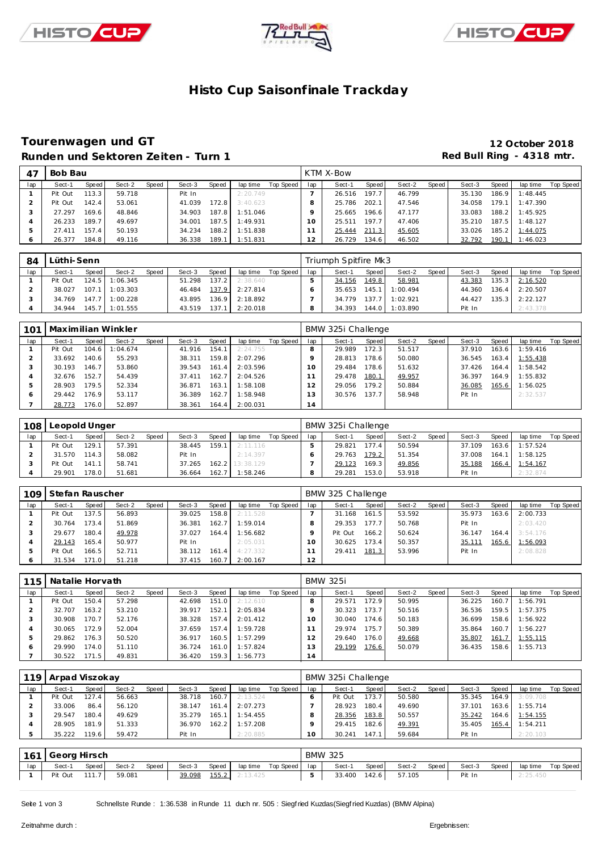





# **Histo Cup Saisonfinale Trackday**

### **Tourenwagen und GT 12 October 2018** Runden und Sektoren Zeiten - Turn 1 **Runden und Sektoren Zeiten - Turn 1 Red Bull Ring - 4318 mtr.**

| 47  | Bob Bau |       |        |       |        |       |          |           |     | KTM X-Bow |       |        |       |        |       |          |           |
|-----|---------|-------|--------|-------|--------|-------|----------|-----------|-----|-----------|-------|--------|-------|--------|-------|----------|-----------|
| lap | Sect-1  | Speed | Sect-2 | Speed | Sect-3 | Speed | lap time | Top Speed | lap | Sect-1    | Speed | Sect-2 | Speed | Sect-3 | Speed | lap time | Top Speed |
|     | Pit Out | 113.3 | 59.718 |       | Pit In |       | 2:20.749 |           |     | 26.516    | 197.7 | 46.799 |       | 35.130 | 186.9 | 1:48.445 |           |
|     | Pit Out | 142.4 | 53.061 |       | 41.039 | 172.8 | 3:40.623 |           |     | 25.786    | 202.1 | 47.546 |       | 34.058 | 179.1 | 1:47.390 |           |
|     | 27.297  | 169.6 | 48.846 |       | 34.903 | 187.8 | 1:51.046 |           |     | 25.665    | 196.6 | 47.177 |       | 33.083 | 188.2 | 1:45.925 |           |
| 4   | 26.233  | 189.7 | 49.697 |       | 34.001 | 187.5 | 1:49.931 |           |     | 25.511    | 197.7 | 47.406 |       | 35.210 | 187.5 | 1:48.127 |           |
|     | 27.411  | 157.4 | 50.193 |       | 34.234 | 188.2 | 1:51.838 |           |     | 25.444    | 211.3 | 45.605 |       | 33.026 | 185.2 | 1:44.075 |           |
| O   | 26.377  | 184.8 | 49.116 |       | 36.338 | 189.1 | 1:51.831 |           | 12  | 26.729    | 134.6 | 46.502 |       | 32.792 | 190.1 | 1:46.023 |           |

| 84  | Lüthi-Senn |         |                  |       |        |       |          |           |     | Triumph Spitfire Mk3 |         |          |       |        |       |                  |           |
|-----|------------|---------|------------------|-------|--------|-------|----------|-----------|-----|----------------------|---------|----------|-------|--------|-------|------------------|-----------|
| lap | Sect-1     | Speed I | Sect-2           | Speed | Sect-3 | Speed | lap time | Top Speed | lap | Sect-1               | Speed I | Sect-2   | Speed | Sect-3 | Speed | lap time         | Top Speed |
|     | Pit Out    |         | 124.5 1:06.345   |       | 51.298 | 137.2 | 2:38.640 |           |     | 34.156               | 149.8   | 58.981   |       | 43.383 | 135.3 | 2:16.520         |           |
|     | 38.027     |         | $107.1$ 1:03.303 |       | 46.484 | 137.9 | 2:27.814 |           |     | 35.653               | 145.1   | 1:00.494 |       | 44.360 | 136.4 | 2:20.507         |           |
|     | 34.769     |         | $147.7$ 1:00.228 |       | 43.895 | 136.9 | 2:18.892 |           |     | 34.779               | 137.7   | 1:02.921 |       | 44.427 |       | $135.3$ 2:22.127 |           |
|     | 34.944     |         | 145.7 1:01.555   |       | 43.519 | 137.1 | 2:20.018 |           |     | 34.393               | 144.0   | 1:03.890 |       | Pit In |       | 2:43.378         |           |

| 101 |         |        | Maximilian Winkler |       |        |       |          |           |     | BMW 325i Challenge |       |        |       |        |       |          |           |
|-----|---------|--------|--------------------|-------|--------|-------|----------|-----------|-----|--------------------|-------|--------|-------|--------|-------|----------|-----------|
| lap | Sect-1  | Speed  | Sect-2             | Speed | Sect-3 | Speed | lap time | Top Speed | lap | Sect-1             | Speed | Sect-2 | Speed | Sect-3 | Speed | lap time | Top Speed |
|     | Pit Out | 104.6  | :04.674            |       | 41.916 | 154.1 | 2:24.755 |           |     | 29.989             | 172.3 | 51.517 |       | 37.910 | 163.6 | 1:59.416 |           |
|     | 33.692  | 140.61 | 55.293             |       | 38.311 | 159.8 | 2:07.296 |           |     | 28.813             | 178.6 | 50.080 |       | 36.545 | 163.4 | 1:55.438 |           |
|     | 30.193  | 146.7  | 53.860             |       | 39.543 | 161.4 | 2:03.596 |           |     | 29.484             | 178.6 | 51.632 |       | 37.426 | 164.4 | 1:58.542 |           |
|     | 32.676  | 152.7  | 54.439             |       | 37.411 | 162.7 | 2:04.526 |           |     | 29.478             | 180.1 | 49.957 |       | 36.397 | 164.9 | 1:55.832 |           |
| 5   | 28.903  | 179.5  | 52.334             |       | 36.871 | 163.1 | 1:58.108 |           |     | 29.056             | 179.2 | 50.884 |       | 36.085 | 165.6 | 1:56.025 |           |
| Ô   | 29.442  | 176.9  | 53.117             |       | 36.389 | 162.7 | 1:58.948 |           | 3   | 30.576             | 137.7 | 58.948 |       | Pit In |       | 2:32.537 |           |
|     | 28.773  | 176.0  | 52.897             |       | 38.361 | 164.4 | 2:00.031 |           | 14  |                    |       |        |       |        |       |          |           |

| 108 | Leopold Unger |       |        |              |        |       |                 |           |     | BMW 325i Challenge |        |        |       |        |       |          |           |
|-----|---------------|-------|--------|--------------|--------|-------|-----------------|-----------|-----|--------------------|--------|--------|-------|--------|-------|----------|-----------|
| lap | Sect-1        | Speed | Sect-2 | <b>Speed</b> | Sect-3 | Speed | lap time        | Top Speed | lap | Sect-1             | Speed  | Sect-2 | Speed | Sect-3 | Speed | lap time | Top Speed |
|     | Pit Out       | 129.1 | 57.391 |              | 38.445 | 159.1 | 2:11.116        |           |     | 29.821             | 177.4  | 50.594 |       | 37.109 | 163.6 | 1:57.524 |           |
|     | 31.570        | 114.3 | 58.082 |              | Pit In |       | 2:14.397        |           |     | 29.763             | 179.2  | 51.354 |       | 37.008 | 164.1 | 1:58.125 |           |
|     | Pit Out       | 141.1 | 58.741 |              | 37.265 |       | 162.2 13:38.129 |           |     | 29.123             | 169.31 | 49.856 |       | 35.188 | 166.4 | 1:54.167 |           |
|     | 29.901        | 178.0 | 51.681 |              | 36.664 | 162.7 | 1:58.246        |           |     | 29.281             | 153.0  | 53.918 |       | Pit In |       | 2:32.874 |           |

| 109 | Stefan Rauscher |       |        |       |        |       |          |           |           | BMW 325 Challenge |       |        |       |        |       |          |           |
|-----|-----------------|-------|--------|-------|--------|-------|----------|-----------|-----------|-------------------|-------|--------|-------|--------|-------|----------|-----------|
| lap | Sect-1          | Speed | Sect-2 | Speed | Sect-3 | Speed | lap time | Top Speed | lap       | Sect-1            | Speed | Sect-2 | Speed | Sect-3 | Speed | lap time | Top Speed |
|     | Pit Out         | 137.5 | 56.893 |       | 39.025 | 158.8 | 2:11.528 |           |           | 31.168            | 161.5 | 53.592 |       | 35.973 | 163.6 | 2:00.733 |           |
|     | 30.764          | 173.4 | 51.869 |       | 36.381 | 162.7 | 1:59.014 |           |           | 29.353            | 177.7 | 50.768 |       | Pit In |       | 2:03.420 |           |
|     | 29.677          | 180.4 | 49.978 |       | 37.027 | 164.4 | 1:56.682 |           |           | Pit Out           | 166.2 | 50.624 |       | 36.147 | 164.4 | 3:54.176 |           |
|     | 29.143          | 165.4 | 50.977 |       | Pit In |       | 2:05.031 |           | $10^{-1}$ | 30.625            | 173.4 | 50.357 |       | 35.111 | 165.6 | 1:56.093 |           |
|     | Pit Out         | 166.5 | 52.711 |       | 38.112 | 161.4 | 4:27.332 |           |           | 29.411            | 181.3 | 53.996 |       | Pit In |       | 2:08.828 |           |
|     | 31.534          | 171.0 | 51.218 |       | 37.415 | 160.7 | 2:00.167 |           | 12        |                   |       |        |       |        |       |          |           |

| 115 | Natalie Horvath |       |        |       |        |        |          |           |     | <b>BMW 325i</b> |       |        |       |        |       |          |           |
|-----|-----------------|-------|--------|-------|--------|--------|----------|-----------|-----|-----------------|-------|--------|-------|--------|-------|----------|-----------|
| lap | Sect-1          | Speed | Sect-2 | Speed | Sect-3 | Speed  | lap time | Top Speed | lap | Sect-1          | Speed | Sect-2 | Speed | Sect-3 | Speed | lap time | Top Speed |
|     | Pit Out         | 150.4 | 57.298 |       | 42.698 | 151.0  | 2:12.610 |           |     | 29.571          | 172.9 | 50.995 |       | 36.225 | 160.7 | I:56.791 |           |
|     | 32.707          | 163.2 | 53.210 |       | 39.917 | 152.1  | 2:05.834 |           |     | 30.323          | 173.7 | 50.516 |       | 36.536 | 159.5 | 1:57.375 |           |
|     | 30.908          | 170.7 | 52.176 |       | 38.328 | 157.4  | 2:01.412 |           |     | 30.040          | 174.6 | 50.183 |       | 36.699 | 158.6 | 1:56.922 |           |
|     | 30.065          | 172.9 | 52.004 |       | 37.659 | 157.4  | 1:59.728 |           |     | 29.974          | 175.7 | 50.389 |       | 35.864 | 160.7 | 1:56.227 |           |
|     | 29.862          | 176.3 | 50.520 |       | 36.917 | 160.5  | 1:57.299 |           | 2   | 29.640          | 176.0 | 49.668 |       | 35.807 | 161.7 | 1:55.115 |           |
| c   | 29.990          | 174.0 | 51.110 |       | 36.724 | 161.0  | 1:57.824 |           | 3   | 29.199          | 176.6 | 50.079 |       | 36.435 | 158.6 | 1:55.713 |           |
|     | 30.522          | 171.5 | 49.831 |       | 36.420 | 159.31 | 1:56.773 |           | 14  |                 |       |        |       |        |       |          |           |

| 119 | Arpad Viszokay |       |        |       |        |       |          |           |     | BMW 325i Challenge |       |        |       |        |       |          |           |
|-----|----------------|-------|--------|-------|--------|-------|----------|-----------|-----|--------------------|-------|--------|-------|--------|-------|----------|-----------|
| lap | Sect-1         | Speed | Sect-2 | Speed | Sect-3 | Speed | lap time | Top Speed | lap | Sect-1             | Speed | Sect-2 | Speed | Sect-3 | Speed | lap time | Top Speed |
|     | Pit Out        | 127.4 | 56.663 |       | 38.718 | 160.7 | 2:13.524 |           |     | Pit Out            | 173.7 | 50.580 |       | 35.345 | 164.9 | 3:09.708 |           |
|     | 33.006         | 86.4  | 56.120 |       | 38.147 | 161.4 | 2:07.273 |           |     | 28.923             | 180.4 | 49.690 |       | 37.101 | 163.6 | 1:55.714 |           |
|     | 29.547         | 180.4 | 49.629 |       | 35.279 | 165.1 | 1:54.455 |           |     | 28.356             | 183.8 | 50.557 |       | 35.242 | 164.6 | 1:54.155 |           |
|     | 28.905         | 181.9 | 51.333 |       | 36.970 | 162.2 | 1:57.208 |           |     | 29.415             | 182.6 | 49.391 |       | 35.405 | 165.4 | 1:54.211 |           |
|     | 35.222         | 119.6 | 59.472 |       | Pit In |       | 2:20.885 |           | 10  | 30.241             | 147.1 | 59.684 |       | Pit In |       | 2:20.103 |           |

|     | 161 Georg Hirsch |         |        |              |        |       |          |           |       | <b>BMW 325</b> |       |        |       |        |       |          |           |
|-----|------------------|---------|--------|--------------|--------|-------|----------|-----------|-------|----------------|-------|--------|-------|--------|-------|----------|-----------|
| lap | Sect-1           | Speed I | Sect-2 | <b>Speed</b> | Sect-3 | Speed | lap time | Top Speed | lap I | Sect-1         | Speed | Sect-2 | Speed | Sect-3 | Speed | lap time | Top Speed |
|     | Pit Out          | 111.7   | 59.081 |              | 39.098 | 155.2 | 2:13.425 |           |       | 33.400         | 142.6 | 57.105 |       | Pit In |       | 2:25.450 |           |

Seite 1 von 3 Schnellste Runde : 1:36.538 in Runde 11 duch nr. 505 : Siegf ried Kuzdas(Siegf ried Kuzdas) (BMW Alpina)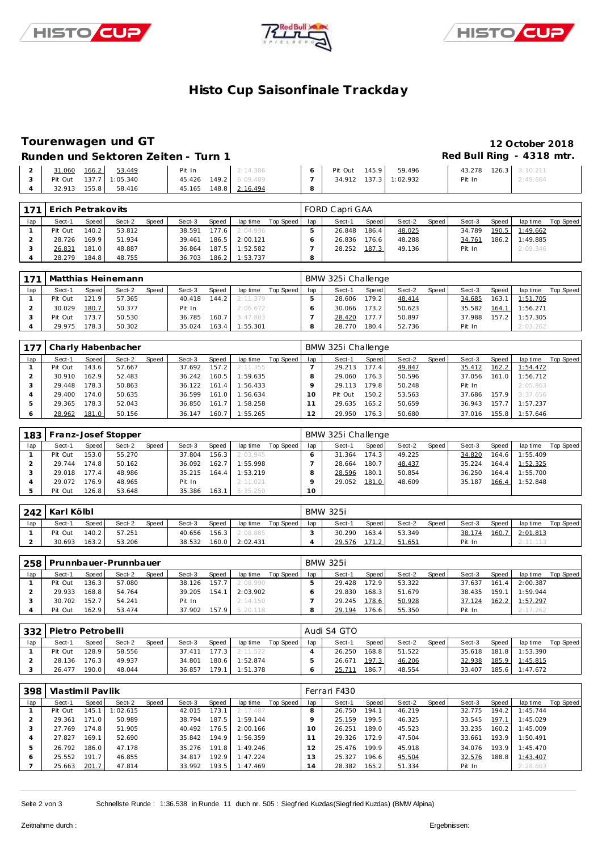





# **Histo Cup Saisonfinale Trackday**

## **Tourenwagen und GT 12 October 2018**

#### Runden und Sektoren Zeiten - Turn 1 **Runden und Sektoren Zeiten - Turn 1 Red Bull Ring - 4318 mtr.**

|  | 31.060 166.2 53.449    | Pit In                | 2:14.386 | 6 Pit Out 145.9 59.496 | 43.278 126.3 3:10.211 |          |
|--|------------------------|-----------------------|----------|------------------------|-----------------------|----------|
|  | Pit Out 137.7 1:05.340 | 45.426 149.2 6:09.489 |          | 34.912 137.3 1:02.932  | Pit In                | 2:49.664 |
|  | 32.913 155.8 58.416    | 45.165 148.8 2:16.494 |          |                        |                       |          |

| 171 | Erich Petrakovits |       |        |              |        |              |          |             |     | FORD Capri GAA |       |        |       |        |       |          |           |
|-----|-------------------|-------|--------|--------------|--------|--------------|----------|-------------|-----|----------------|-------|--------|-------|--------|-------|----------|-----------|
| lap | Sect-1            | Speed | Sect-2 | <b>Speed</b> | Sect-3 | <b>Speed</b> | lap time | Top Speed I | lap | Sect-1         | Speed | Sect-2 | Speed | Sect-3 | Speed | lap time | Top Speed |
|     | Pit Out           | 140.2 | 53.812 |              | 38.591 | 177.6        | 2:04.936 |             |     | 26.848         | 186.4 | 48.025 |       | 34.789 | 190.5 | 1:49.662 |           |
|     | 28.726            | 169.9 | 51.934 |              | 39.461 | 186.5        | 2:00.121 |             |     | 26.836         | 176.6 | 48.288 |       | 34.761 | 186.2 | 1:49.885 |           |
|     | 26.831            | 181.0 | 48.887 |              | 36.864 | 187.5        | 1:52.582 |             |     | 28.252         | 187.3 | 49.136 |       | Pit In |       | 2:09.346 |           |
|     | 28.279            | 184.8 | 48.755 |              | 36.703 | 186.2        | 1:53.737 |             | 8   |                |       |        |       |        |       |          |           |

|     |         |       | 171   Matthias Heinemann |              |        |       |          |           |     | BMW 325i Challenge |       |        |       |        |       |          |           |
|-----|---------|-------|--------------------------|--------------|--------|-------|----------|-----------|-----|--------------------|-------|--------|-------|--------|-------|----------|-----------|
| lap | Sect-1  | Speed | Sect-2                   | <b>Speed</b> | Sect-3 | Speed | lap time | Top Speed | lap | Sect-1             | Speed | Sect-2 | Speed | Sect-3 | Speed | lap time | Top Speed |
|     | Pit Out | 121.9 | 57.365                   |              | 40.418 | 144.2 | 2:11.379 |           |     | 28.606             | 179.2 | 48.414 |       | 34.685 | 163.1 | 1:51.705 |           |
|     | 30.029  | 180.7 | 50.377                   |              | Pit In |       | 2:06.672 |           |     | 30.066             | 173.2 | 50.623 |       | 35.582 | 164.7 | 1:56.271 |           |
|     | Pit Out | 173.7 | 50.530                   |              | 36.785 | 160.7 | 3:47.883 |           |     | 28.420             | 177.7 | 50.897 |       | 37.988 | 157.2 | 1:57.305 |           |
|     | 29.975  | 178.3 | 50.302                   |              | 35.024 | 163.4 | 1:55.301 |           |     | 28.770             | 180.4 | 52.736 |       | Pit In |       | 2:03.262 |           |

| 177 |         |       | Charly Habenbacher |       |        |            |          |           |     | BMW 325i Challenge |        |        |       |        |       |          |           |
|-----|---------|-------|--------------------|-------|--------|------------|----------|-----------|-----|--------------------|--------|--------|-------|--------|-------|----------|-----------|
| lap | Sect-1  | Speed | Sect-2             | Speed | Sect-3 | Speed      | lap time | Top Speed | lap | Sect-1             | Speed  | Sect-2 | Speed | Sect-3 | Speed | lap time | Top Speed |
|     | Pit Out | 143.6 | 57.667             |       | 37.692 | 157.2      | 2:11.355 |           |     | 29.213             | 177.4  | 49.847 |       | 35.412 | 162.2 | 1:54.472 |           |
|     | 30.910  | 162.9 | 52.483             |       | 36.242 | 160.5      | 1:59.635 |           |     | 29.060             | 176.3  | 50.596 |       | 37.056 | 161.0 | 1:56.712 |           |
|     | 29.448  | 178.3 | 50.863             |       | 36.122 | 161.4      | 1:56.433 |           |     | 29.113             | 179.8  | 50.248 |       | Pit In |       | 2:05.863 |           |
|     | 29.400  | 174.0 | 50.635             |       | 36.599 | 161.0      | 1:56.634 |           |     | Pit Out            | 150.2  | 53.563 |       | 37.686 | 157.9 | 3:37.656 |           |
|     | 29.365  | 178.3 | 52.043             |       | 36.850 | 161<br>.7. | 1:58.258 |           |     | 29.635             | 165.2. | 50.659 |       | 36.943 | 157.7 | 1:57.237 |           |
|     | 28.962  | 181.0 | 50.156             |       | 36.147 | 160.7      | 1:55.265 |           | 12  | 29.950             | 176.3  | 50.680 |       | 37.016 | 155.8 | 1:57.646 |           |

|     | 183   Franz-Josef Stopper |        |        |       |        |        |          |           |     | BMW 325i Challenge |                    |        |       |        |       |          |           |
|-----|---------------------------|--------|--------|-------|--------|--------|----------|-----------|-----|--------------------|--------------------|--------|-------|--------|-------|----------|-----------|
| lap | Sect-1                    | Speed  | Sect-2 | Speed | Sect-3 | Speed  | lap time | Top Speed | lap | Sect-1             | Speed              | Sect-2 | Speed | Sect-3 | Speed | lap time | Top Speed |
|     | Pit Out                   | 153.0  | 55.270 |       | 37.804 | 156.31 | 2:03.945 |           |     | 31.364             | 174.3 <sub>1</sub> | 49.225 |       | 34.820 | 164.6 | 1:55.409 |           |
|     | 29.744                    | 174.81 | 50.162 |       | 36.092 | 162.7  | 1:55.998 |           |     | 28.664             | 180.7              | 48.437 |       | 35.224 | 164.4 | 1:52.325 |           |
|     | 29.018                    | 177.4  | 48.986 |       | 35.215 | 164.4  | 1:53.219 |           |     | 28.596             | 180.1              | 50.854 |       | 36.250 | 164.4 | 1:55.700 |           |
|     | 29.072                    | 176.9  | 48.965 |       | Pit In |        | 2:11.021 |           |     | 29.052             | 181.0              | 48.609 |       | 35.187 | 166.4 | 1:52.848 |           |
|     | Pit Out                   | 126.8  | 53.648 |       | 35.386 | 163.1  | 5:35.250 |           | 10  |                    |                    |        |       |        |       |          |           |

| 242 | Karl Kölbl |       |        |              |        |         |          |           |     | <b>BMW 325i</b> |         |        |       |        |       |          |           |
|-----|------------|-------|--------|--------------|--------|---------|----------|-----------|-----|-----------------|---------|--------|-------|--------|-------|----------|-----------|
| lap | Sect-1     | Speed | Sect-2 | <b>Speed</b> | Sect-3 | Speed   | lap time | Top Speed | lap | Sect-1          | Speed I | Sect-2 | Speed | Sect-3 | Speed | lap time | Top Speed |
|     | Pit Out    | 140.2 | 57.251 |              | 40.656 | $156.3$ | 2:08.885 |           |     | 30.290          | 163.4   | 53.349 |       | 38.174 | 160.7 | 2:01.813 |           |
|     | 30.693     | 163.2 | 53.206 |              | 38.532 | 160.0   | 2:02.431 |           |     | 29.576          | 171.2   | 51.651 |       | Pit In |       | 2:11.113 |           |

| 258 |         |       | Prunnbauer-Prunnbauer |              |        |       |          |           |     | <b>BMW 325i</b> |       |        |        |        |       |          |           |
|-----|---------|-------|-----------------------|--------------|--------|-------|----------|-----------|-----|-----------------|-------|--------|--------|--------|-------|----------|-----------|
| lap | Sect-1  | Speed | Sect-2                | <b>Speed</b> | Sect-3 | Speed | lap time | Top Speed | lap | Sect-1          | Speed | Sect-2 | Speed, | Sect-3 | Speed | lap time | Top Speed |
|     | Pit Out | 136.3 | 57.080                |              | 38.126 | 157.7 | 2:08.990 |           |     | 29.428          | 172.9 | 53.322 |        | 37.637 | 161.4 | 2:00.387 |           |
|     | 29.933  | 168.8 | 54.764                |              | 39.205 | 154.1 | 2:03.902 |           |     | 29.830          | 168.3 | 51.679 |        | 38.435 | 159.1 | 1:59.944 |           |
|     | 30.702  | 152.7 | 54.241                |              | Pit In |       | 2:14.150 |           |     | 29.245          | 178.6 | 50.928 |        | 37.124 | 162.2 | 1:57.297 |           |
|     | Pit Out | 162.9 | 53.474                |              | 37.902 | 157.9 | 5:20.118 |           |     | 29.194          | 176.6 | 55.350 |        | Pit In |       | 2:17.262 |           |

| 332 | Pietro Petrobelli |         |        |       |        |       |          |           |     | Audi S4 GTO |       |        |       |        |       |          |           |
|-----|-------------------|---------|--------|-------|--------|-------|----------|-----------|-----|-------------|-------|--------|-------|--------|-------|----------|-----------|
| lap | Sect-1            | Speed I | Sect-2 | Speed | Sect-3 | Speed | lap time | Top Speed | lap | Sect-1      | Speed | Sect-2 | Speed | Sect-3 | Speed | lap time | Top Speed |
|     | Pit Out           | 128.9   | 58.556 |       | 37.411 | 177.3 | 2:11.522 |           |     | 26.250      | 168.8 | 51.522 |       | 35.618 | 181.8 | 1:53.390 |           |
|     | 28.136            | 176.31  | 49.937 |       | 34.801 | 180.6 | 1:52.874 |           |     | 26.671      | 197.3 | 46.206 |       | 32.938 | 185.9 | 1:45.815 |           |
|     | 26.477            | 190.0   | 48.044 |       | 36.857 | 79.1  | 1:51.378 |           |     | 25.711      | 186.7 | 48.554 |       | 33.407 | 185.6 | 1:47.672 |           |

| 398 | Vlastimil Pavlik |       |          |       |        |       |          |           |                 | Ferrari F430 |       |        |       |        |       |          |           |
|-----|------------------|-------|----------|-------|--------|-------|----------|-----------|-----------------|--------------|-------|--------|-------|--------|-------|----------|-----------|
| lap | Sect-1           | Speed | Sect-2   | Speed | Sect-3 | Speed | lap time | Top Speed | lap             | Sect-1       | Speed | Sect-2 | Speed | Sect-3 | Speed | lap time | Top Speed |
|     | Pit Out          | 145.1 | 1:02.615 |       | 42.015 | 173.1 | 2:17.487 |           |                 | 26.750       | 194.1 | 46.219 |       | 32.775 | 194.2 | 1:45.744 |           |
|     | 29.361           | 171.0 | 50.989   |       | 38.794 | 187.5 | 1:59.144 |           |                 | 25.159       | 199.5 | 46.325 |       | 33.545 | 197.1 | 1:45.029 |           |
|     | 27.769           | 174.8 | 51.905   |       | 40.492 | 176.5 | 2:00.166 |           |                 | 26.251       | 189.0 | 45.523 |       | 33.235 | 160.2 | 1:45.009 |           |
|     | 27.827           | 169.1 | 52.690   |       | 35.842 | 194.9 | 1:56.359 |           |                 | 29.326       | 172.9 | 47.504 |       | 33.661 | 193.9 | 1:50.491 |           |
|     | 26.792           | 186.0 | 47.178   |       | 35.276 | 191.8 | 1:49.246 |           |                 | 25.476       | 199.9 | 45.918 |       | 34.076 | 193.9 | 1:45.470 |           |
|     | 25.552           | 191.7 | 46.855   |       | 34.817 | 192.9 | 1:47.224 |           | 3               | 25.327       | 196.6 | 45.504 |       | 32.576 | 188.8 | 1:43.407 |           |
|     | 25.663           | 201.7 | 47.814   |       | 33.992 | 193.5 | 1:47.469 |           | $\overline{14}$ | 28.382       | 165.2 | 51.334 |       | Pit In |       | 2:28.603 |           |